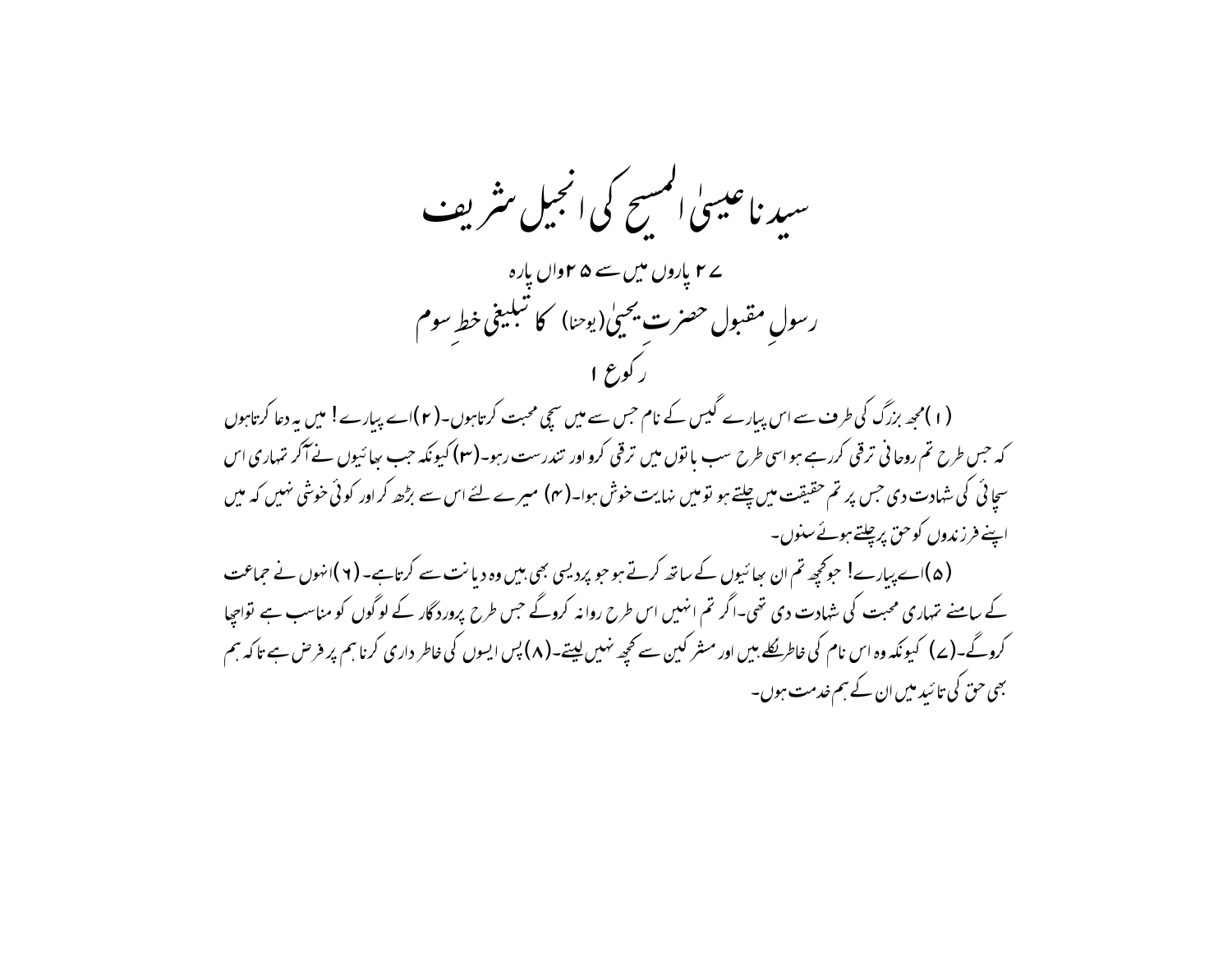سید ناعیسیٰ المسح کی انجیل مثریف ے **۲** یاروں میں سے ۵ **۲**واں یارہ رسولِ مقبول حصرت يحيىٰ(يوحنا) كا تبليغى خط سوم (۱)محھ بزرگ کی طرف سے اس پیارے گیس کے نام حس سے میں سچی محبت کرتاہوں۔(۲)اے پیارے! میں یہ دعا کرتاہوں کہ جس طرح تم روحانی ترقی کررہے ہواسی طرح سب مانوں میں ترقی کرواور تندرست رہو۔(**۲**) کیونکہ جب <sub>بھا</sub>ئیوں نے آکر تہاری اس سچائی کی شہادت دی جس پر تم حقیقت میں چلتے ہو تو میں نہایت خوش ہوا۔(مہ) میرے لئے اس سے بڑھ کراور کوئی خوشی نہیں کہ میں اپنے فرزندوں کوحق پرچلتے ہوئے سنوں۔ (۵)اے پیارے! حوکچھ تم ان سائیوں کے ساتھ کرتے ہو حو پردیسی بھی ہیں وہ دیانت سے کرتاہے۔ (۲)انہوں نے حماعت کے سامنے نتہاری محبت کی شہادت دی تھی۔اگر تم انہیں اس طرح روانہ کروگے جس طرح پرورد گار کے لوگوں کو مناسب ہے تواجیا کروگے۔(ے) کیونکہ وہ اس نام کی خاطریکلے بیں اور مشر کین سے کجھ نہیں لیتے۔(۸) پس ایسوں کی خاطر داری کرنا ہم پر فرص ہے تاکہ ہم بھی حق کی تا ئید میں ان کے ہم خدمت ہوں۔